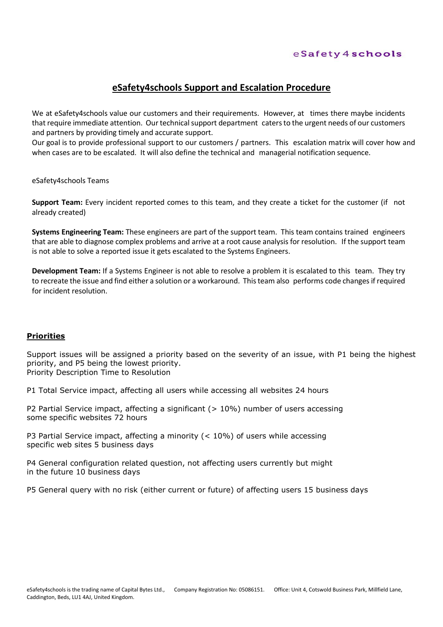### eSafety4schools

## **eSafety4schools Support and Escalation Procedure**

We at eSafety4schools value our customers and their requirements. However, at times there maybe incidents that require immediate attention. Our technical support department caters to the urgent needs of our customers and partners by providing timely and accurate support.

Our goal is to provide professional support to our customers / partners. This escalation matrix will cover how and when cases are to be escalated. It will also define the technical and managerial notification sequence.

eSafety4schools Teams

**Support Team:** Every incident reported comes to this team, and they create a ticket for the customer (if not already created)

**Systems Engineering Team:** These engineers are part of the support team. This team contains trained engineers that are able to diagnose complex problems and arrive at a root cause analysis for resolution. If the support team is not able to solve a reported issue it gets escalated to the Systems Engineers.

**Development Team:** If a Systems Engineer is not able to resolve a problem it is escalated to this team. They try to recreate the issue and find either a solution or a workaround. This team also performs code changes if required for incident resolution.

#### **Priorities**

Support issues will be assigned a priority based on the severity of an issue, with P1 being the highest priority, and P5 being the lowest priority. Priority Description Time to Resolution

P1 Total Service impact, affecting all users while accessing all websites 24 hours

P2 Partial Service impact, affecting a significant (> 10%) number of users accessing some specific websites 72 hours

P3 Partial Service impact, affecting a minority (< 10%) of users while accessing specific web sites 5 business days

P4 General configuration related question, not affecting users currently but might in the future 10 business days

P5 General query with no risk (either current or future) of affecting users 15 business days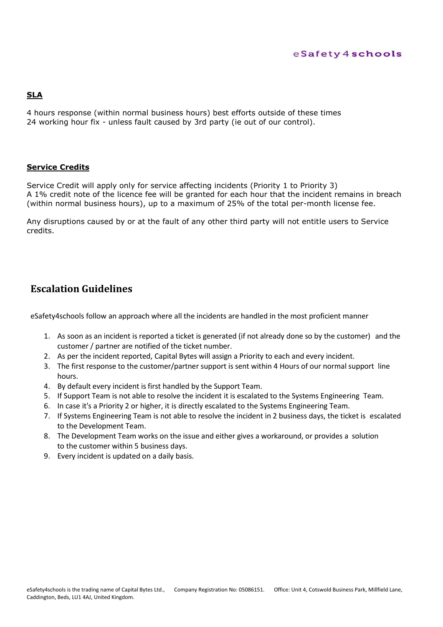#### eSafety4schools

### **SLA**

4 hours response (within normal business hours) best efforts outside of these times 24 working hour fix - unless fault caused by 3rd party (ie out of our control).

#### **Service Credits**

Service Credit will apply only for service affecting incidents (Priority 1 to Priority 3) A 1% credit note of the licence fee will be granted for each hour that the incident remains in breach (within normal business hours), up to a maximum of 25% of the total per-month license fee.

Any disruptions caused by or at the fault of any other third party will not entitle users to Service credits.

# **Escalation Guidelines**

eSafety4schools follow an approach where all the incidents are handled in the most proficient manner

- 1. As soon as an incident is reported a ticket is generated (if not already done so by the customer) and the customer / partner are notified of the ticket number.
- 2. As per the incident reported, Capital Bytes will assign a Priority to each and every incident.
- 3. The first response to the customer/partner support is sent within 4 Hours of our normal support line hours.
- 4. By default every incident is first handled by the Support Team.
- 5. If Support Team is not able to resolve the incident it is escalated to the Systems Engineering Team.
- 6. In case it's a Priority 2 or higher, it is directly escalated to the Systems Engineering Team.
- 7. If Systems Engineering Team is not able to resolve the incident in 2 business days, the ticket is escalated to the Development Team.
- 8. The Development Team works on the issue and either gives a workaround, or provides a solution to the customer within 5 business days.
- 9. Every incident is updated on a daily basis.